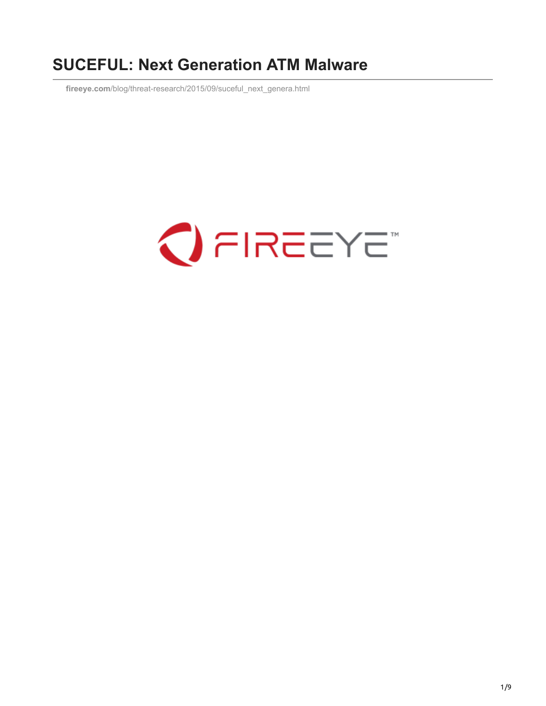# **SUCEFUL: Next Generation ATM Malware**

**fireeye.com**[/blog/threat-research/2015/09/suceful\\_next\\_genera.html](https://www.fireeye.com/blog/threat-research/2015/09/suceful_next_genera.html)

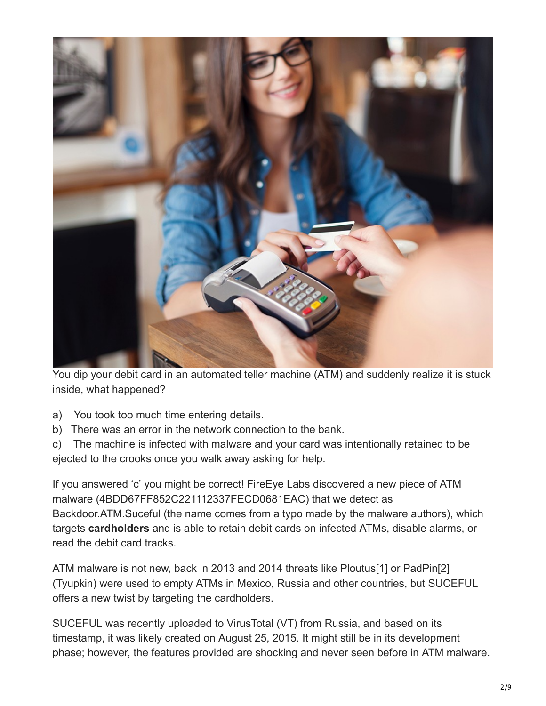

You dip your debit card in an automated teller machine (ATM) and suddenly realize it is stuck inside, what happened?

- a) You took too much time entering details.
- b) There was an error in the network connection to the bank.

c) The machine is infected with malware and your card was intentionally retained to be ejected to the crooks once you walk away asking for help.

If you answered 'c' you might be correct! FireEye Labs discovered a new piece of ATM malware (4BDD67FF852C221112337FECD0681EAC) that we detect as Backdoor.ATM.Suceful (the name comes from a typo made by the malware authors), which targets **cardholders** and is able to retain debit cards on infected ATMs, disable alarms, or read the debit card tracks.

ATM malware is not new, back in 2013 and 2014 threats like Ploutus[1] or PadPin[2] (Tyupkin) were used to empty ATMs in Mexico, Russia and other countries, but SUCEFUL offers a new twist by targeting the cardholders.

SUCEFUL was recently uploaded to VirusTotal (VT) from Russia, and based on its timestamp, it was likely created on August 25, 2015. It might still be in its development phase; however, the features provided are shocking and never seen before in ATM malware.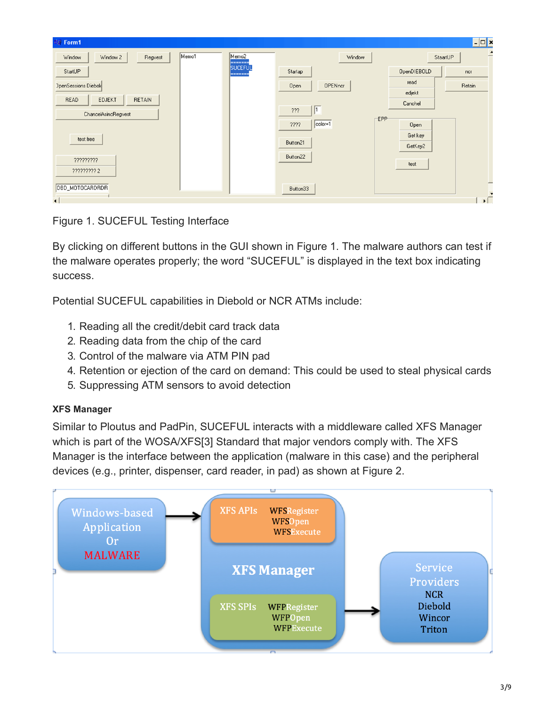| 聊 Form1                                |       |                              |                        |         |             | $\overline{\phantom{a}}$ |
|----------------------------------------|-------|------------------------------|------------------------|---------|-------------|--------------------------|
| Window<br>Window 2<br>Regvest          | Memo1 | Memo <sub>2</sub><br>------- | Window                 |         | StaartUP    | -                        |
| StartUP                                |       | <b>SUCEFUL</b><br>=======    | Startap                |         | OpenDIEBOLD | ncr                      |
| <b>JpenSessions Diebold</b>            |       |                              | <b>OPENncr</b><br>Open | read    |             | Retain                   |
| READ<br><b>EDJEKT</b><br><b>RETAIN</b> |       |                              |                        | edjekt  |             |                          |
|                                        |       |                              | $\sqrt{1}$<br>???      | Canchel |             |                          |
| ChancelAsincRegvest                    |       |                              |                        | EPP-    |             |                          |
|                                        |       |                              | $color=1$<br>????      |         | Open        |                          |
| test free                              |       |                              | Button21               |         | Get key     |                          |
|                                        |       |                              |                        |         | GetKey2     |                          |
| ?????????                              |       |                              | Button22               |         |             |                          |
| ????????? 2                            |       |                              |                        | test    |             |                          |
|                                        |       |                              |                        |         |             | -                        |
| DBD_MOTOCARDRDR                        |       |                              | Button33               |         |             | $\overline{\phantom{a}}$ |
| $\blacksquare$                         |       |                              |                        |         |             | $\mathbf{E}$             |

Figure 1. SUCEFUL Testing Interface

By clicking on different buttons in the GUI shown in Figure 1. The malware authors can test if the malware operates properly; the word "SUCEFUL" is displayed in the text box indicating success.

Potential SUCEFUL capabilities in Diebold or NCR ATMs include:

- 1. Reading all the credit/debit card track data
- 2. Reading data from the chip of the card
- 3. Control of the malware via ATM PIN pad
- 4. Retention or ejection of the card on demand: This could be used to steal physical cards
- 5. Suppressing ATM sensors to avoid detection

# **XFS Manager**

Similar to Ploutus and PadPin, SUCEFUL interacts with a middleware called XFS Manager which is part of the WOSA/XFS[3] Standard that major vendors comply with. The XFS Manager is the interface between the application (malware in this case) and the peripheral devices (e.g., printer, dispenser, card reader, in pad) as shown at Figure 2.

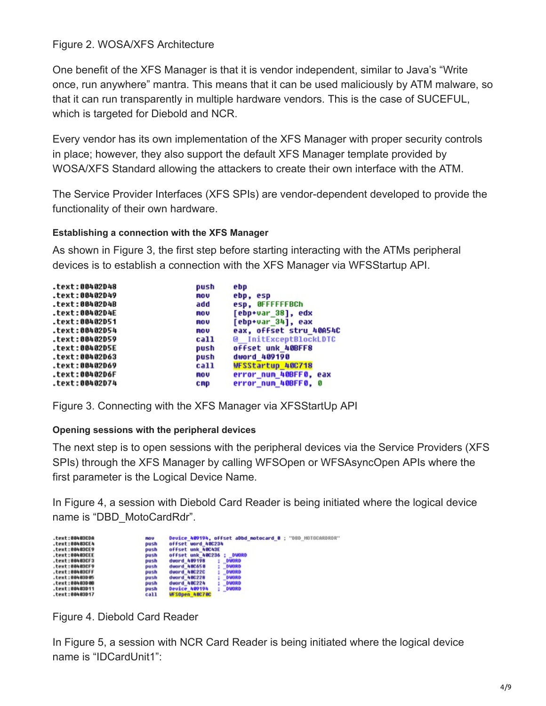## Figure 2. WOSA/XFS Architecture

One benefit of the XFS Manager is that it is vendor independent, similar to Java's "Write once, run anywhere" mantra. This means that it can be used maliciously by ATM malware, so that it can run transparently in multiple hardware vendors. This is the case of SUCEFUL, which is targeted for Diebold and NCR.

Every vendor has its own implementation of the XFS Manager with proper security controls in place; however, they also support the default XFS Manager template provided by WOSA/XFS Standard allowing the attackers to create their own interface with the ATM.

The Service Provider Interfaces (XFS SPIs) are vendor-dependent developed to provide the functionality of their own hardware.

## **Establishing a connection with the XFS Manager**

As shown in Figure 3, the first step before starting interacting with the ATMs peripheral devices is to establish a connection with the XFS Manager via WFSStartup API.

| text:00402D48  | push | ebp                     |
|----------------|------|-------------------------|
| text:00402D49. | nov  | ebp, esp                |
| .text:00402D4B | add  | esp. OFFFFFFBCh         |
| .text:00402D4E | nov  | [ebp+var 38], edx       |
| .text:00402D51 | nov  | $[ebp+var 34]$ , eax    |
| .text:00402D54 | nov  | eax, offset stru 40A54C |
| .text:00402D59 | call | @ InitExceptBlockLDTC   |
| .text:00402D5E | push | offset unk 40BFF8       |
| text:00402D63. | push | dword 409190            |
| text:00402D69  | call | WFSStartup 40C718       |
| .text:00402D6F | nov  | error num 40BFF0, eax   |
| .text:00402D74 | cmp  | error_num_40BFF0, 0     |

Figure 3. Connecting with the XFS Manager via XFSStartUp API

## **Opening sessions with the peripheral devices**

The next step is to open sessions with the peripheral devices via the Service Providers (XFS SPIs) through the XFS Manager by calling WFSOpen or WFSAsyncOpen APIs where the first parameter is the Logical Device Name.

In Figure 4, a session with Diebold Card Reader is being initiated where the logical device name is "DBD\_MotoCardRdr".

| .text:00403CDA | nov  | Device 409194, offset aDbd motocard 0 : "DBD MOTOCARDRDR" |
|----------------|------|-----------------------------------------------------------|
| .text:00403CE4 | push | offset word 40C234                                        |
| .text:00403CE9 | push | offset unk 40C43E                                         |
| .text:00403CEE | push | offset unk 40C236<br>DWORD                                |
| .text:00403CF3 | push | dword 489198<br>DWORD                                     |
| .text:00403CF9 | push | <b>DWORD</b><br>dword 40C650                              |
| .text:00403CFF | push | <b>DWORD</b><br>dword 48C22C                              |
| .text:00403D05 | push | DWORD<br>dword 400228                                     |
| .text:00403D08 | push | <b>DWORD</b><br>dword 48C224                              |
| .text:00403D11 | push | DWORD<br>Device 409194                                    |
| .text:00403D17 | call | WESOpen 40C70C                                            |

Figure 4. Diebold Card Reader

In Figure 5, a session with NCR Card Reader is being initiated where the logical device name is "IDCardUnit1":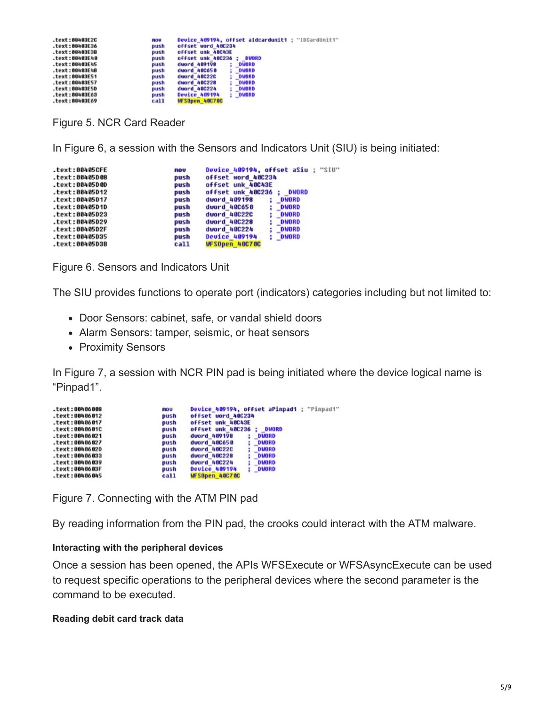| .text:00403E2C | <b>ROV</b> | Device 409194, offset aldcardunit1 : "IDCardUnit1" |
|----------------|------------|----------------------------------------------------|
| .text:00483E36 | push       | offset word 48C234                                 |
| .text:00483E3B | push       | offset unk 40C43E                                  |
| .text:00403E40 | push       | offset unk 40C236<br><b>DWORD</b>                  |
| .text:00403E45 | push       | dword 409198<br><b>DWORD</b>                       |
| .text:00403E4B | push       | <b>DWORD</b><br>dword 48C658                       |
| .text:00403E51 | push       | dword 40C22C<br><b>DMORD</b><br>÷                  |
| .text:00403E57 | push       | dword 40C228<br><b>DMORD</b>                       |
| .text:00403E5D | push       | <b>DMORD</b><br>dword 48C224                       |
| .text:00403E63 | push       | Device 409194<br>DWORD                             |
| .text:00403E69 | call       | <b>WESOpen 40C70C</b>                              |

Figure 5. NCR Card Reader

In Figure 6, a session with the Sensors and Indicators Unit (SIU) is being initiated:

| .text:00405CFE | <b>ROV</b> | Device 409194, offset aSiu : "SIU" |
|----------------|------------|------------------------------------|
| .text:00405D08 | push       | offset word 400234                 |
| .text:00405D0D | push       | offset unk 40C43E                  |
| .text:00405D12 | push       | offset unk 40C236<br><b>DWORD</b>  |
| .text:00405D17 | push       | duord 409198<br>DWORD              |
| .text:00405D1D | push       | <b>DWORD</b><br>dword 40C650       |
| .text:00405D23 | push       | duord 40C22C<br>: DWORD            |
| .text:00405D29 | push       | <b>DWORD</b><br>duord 40C228       |
| .text:00405D2F | push       | : DWORD<br>duord 40C224            |
| .text:00405D35 | push       | <b>Device 409194</b><br>: DWORD    |
| .text:00405D3B | call       | WFSOpen 40C70C                     |

Figure 6. Sensors and Indicators Unit

The SIU provides functions to operate port (indicators) categories including but not limited to:

- Door Sensors: cabinet, safe, or vandal shield doors
- Alarm Sensors: tamper, seismic, or heat sensors
- Proximity Sensors

In Figure 7, a session with NCR PIN pad is being initiated where the device logical name is "Pinpad1".

| text:00406008. | mou  | Device 409194, offset aPinpad1 : "Pinpad1" |
|----------------|------|--------------------------------------------|
| .text:00406012 | push | offset word 40C234                         |
| .text:00406017 | push | offset unk 40C43E                          |
| .text:0040601C | push | offset unk 40C236 :<br><b>DWORD</b>        |
| .text:00406021 | push | dword 489198<br><b>DUORD</b>               |
| .text:00406027 | push | dword 40C650<br>DUORD                      |
| .text:0040602D | push | <b>DUORD</b><br>dword 40C22C               |
| .text:00406033 | push | <b>DUORD</b><br>dword 40C228               |
| .text:00406039 | push | DUORD<br>dword 40C224                      |
| .text:0040603F | push | : DUORD<br><b>Device 409194</b>            |
| .text:00406045 | ca11 | WFSOpen 40C70C                             |

Figure 7. Connecting with the ATM PIN pad

By reading information from the PIN pad, the crooks could interact with the ATM malware.

#### **Interacting with the peripheral devices**

Once a session has been opened, the APIs WFSExecute or WFSAsyncExecute can be used to request specific operations to the peripheral devices where the second parameter is the command to be executed.

#### **Reading debit card track data**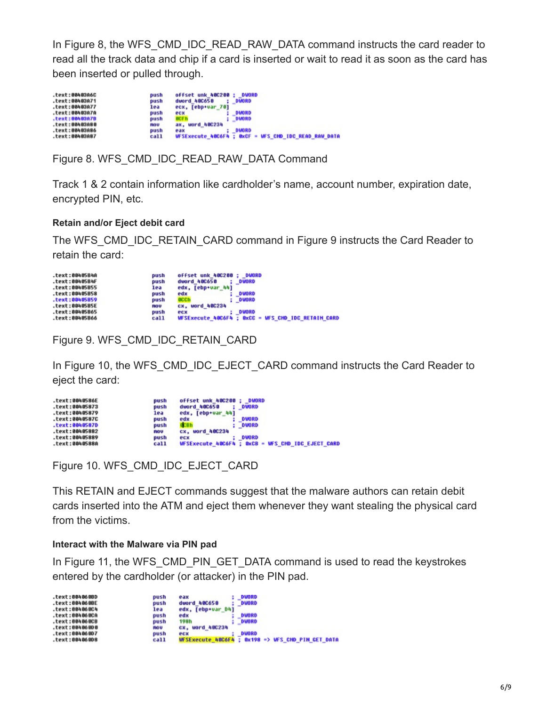In Figure 8, the WFS\_CMD\_IDC\_READ\_RAW\_DATA command instructs the card reader to read all the track data and chip if a card is inserted or wait to read it as soon as the card has been inserted or pulled through.

| .text:00403A6C<br>.text:00403A71 | offset unk 400200 :<br><b>DUORD</b><br>push<br>dword 40C650<br>DMORD<br>push |
|----------------------------------|------------------------------------------------------------------------------|
| .text:00403A77                   | ecx, [ebp+var 70]<br>lea                                                     |
| .text:00403A7A                   | <b>DIAORD</b><br>push<br>еск                                                 |
| $.$ text:00403A7B                | <b>OCFB</b><br>DMORD<br>push                                                 |
| .text:00403A80                   | ax, word 40C234<br>nou                                                       |
| $.$ text:00403A86                | DMORD<br>push<br>eax                                                         |
| .text:00403A87                   | <b>WFSExecute 40C6F4 ; OxCF = WFS CMD IDC READ RAW DATA</b><br>call          |

Figure 8. WFS\_CMD\_IDC\_READ\_RAW\_DATA Command

Track 1 & 2 contain information like cardholder's name, account number, expiration date, encrypted PIN, etc.

#### **Retain and/or Eject debit card**

The WFS\_CMD\_IDC\_RETAIN\_CARD command in Figure 9 instructs the Card Reader to retain the card:

| .text:00405B4A   | push | offset unk 400200 :<br>DMORD                       |
|------------------|------|----------------------------------------------------|
| .text:00405B4F   | push | dword 40C658<br>DWORD                              |
| .text:00405B55   | lea  | edx, [ebp+var 44]                                  |
| .text:00405B58   | push | <b>DWORD</b><br>edx                                |
| $-text:00405B59$ | push | acch<br><b>DWORD</b>                               |
| .text:00405B5E   | ROU  | <b>CX, uord 400234</b>                             |
| .text:00405B65   | push | DVORD<br>ecx                                       |
| .text:00405B66   | call | WESExecute 40C6F4 : OxCC = WES CHD IDC RETAIN CARD |

Figure 9. WFS\_CMD\_IDC\_RETAIN\_CARD

In Figure 10, the WFS\_CMD\_IDC\_EJECT\_CARD command instructs the Card Reader to eject the card:

| .text:0040586E | offset unk 40C200 :<br>push   | <b>DWORD</b>                                             |
|----------------|-------------------------------|----------------------------------------------------------|
| .text:00405873 | dword 40C650<br>push          | : DWORD                                                  |
| .text:00405879 | edx, [ebp+var 44]<br>lea      |                                                          |
| .text:0040587C | edx<br>push                   | <b>DWORD</b>                                             |
| .text:0040587D | <b>GCBh</b><br>push           | : DWORD                                                  |
| .text:00405882 | <b>CX. word 480234</b><br>mou |                                                          |
| .text:00405889 | push<br>есх                   | <b>DWORD</b>                                             |
| .text:0040588A | call                          | <b>WFSExecute 40C6F4 ; OxCB = WFS CHD IDC EJECT CARD</b> |

Figure 10. WFS\_CMD\_IDC\_EJECT\_CARD

This RETAIN and EJECT commands suggest that the malware authors can retain debit cards inserted into the ATM and eject them whenever they want stealing the physical card from the victims.

#### **Interact with the Malware via PIN pad**

In Figure 11, the WFS CMD PIN GET DATA command is used to read the keystrokes entered by the cardholder (or attacker) in the PIN pad.

| .text:004060BD                       | DUORD                                                       |
|--------------------------------------|-------------------------------------------------------------|
| push                                 | eax                                                         |
| .text:004060BE                       | dword 400650                                                |
| push                                 | <b>DUORD</b>                                                |
| .text:004060C4<br>lea                | edx. [ebp+var D4]                                           |
| .text:004060CA                       | DUORD                                                       |
| push                                 | edx                                                         |
| .text:004060CB                       | DUORD                                                       |
| push                                 | 198h                                                        |
| .text:00406000<br><b>FIGU</b>        | CX, word 48C234                                             |
| .text:00406007                       | <b>DUORD</b>                                                |
| push                                 | ecx                                                         |
| c <sub>al</sub> 11<br>.text:004060D8 | <b>WFSExecute 40C6F4 ; 0x198 =&gt; WFS CHD PIN GET DATA</b> |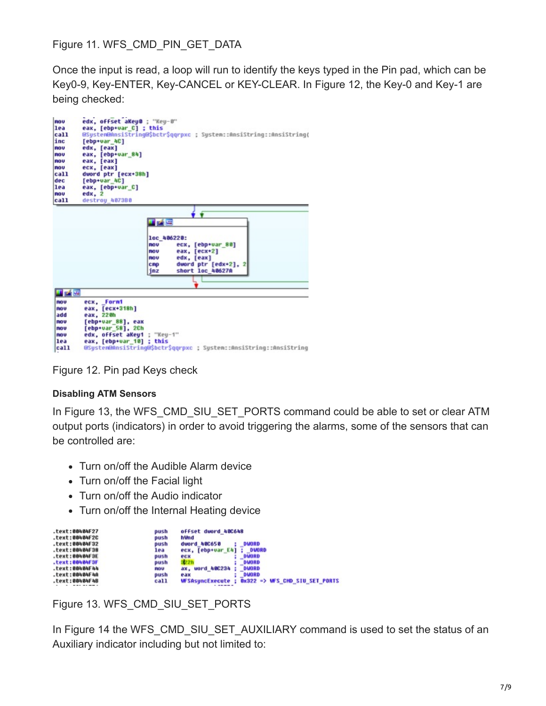Figure 11. WFS\_CMD\_PIN\_GET\_DATA

Once the input is read, a loop will run to identify the keys typed in the Pin pad, which can be Key0-9, Key-ENTER, Key-CANCEL or KEY-CLEAR. In Figure 12, the Key-0 and Key-1 are being checked:



Figure 12. Pin pad Keys check

## **Disabling ATM Sensors**

In Figure 13, the WFS\_CMD\_SIU\_SET\_PORTS command could be able to set or clear ATM output ports (indicators) in order to avoid triggering the alarms, some of the sensors that can be controlled are:

- Turn on/off the Audible Alarm device
- Turn on/off the Facial light
- Turn on/off the Audio indicator
- Turn on/off the Internal Heating device

| .text:00404F27    | push       | offset duord 40C648                                                |
|-------------------|------------|--------------------------------------------------------------------|
| $-text:00404F2C$  | push       | hWnd                                                               |
| .text:00404F32    | push       | dword 40C650<br><b>DUORD</b>                                       |
| $.$ text:00404F38 | lea        | ecx, [ebp+var E4]<br><b>DMORD</b>                                  |
| $-text:00404F3E$  | push       | DUORD<br>ecx                                                       |
| $.$ text:00404F3F | push       | <b>DUORD</b><br>322h                                               |
| .text:00404F44    | <b>ROU</b> | uord 480234<br><b>DUORD</b><br>ax.                                 |
| .text:00404F4A    | push       | <b>DUORD</b><br>e a x                                              |
| .text:00404F4B    | call       | $0 \times 322$ => WFS CHD SIU SET PORTS<br><b>WFSAsuncExecute:</b> |

Figure 13. WFS\_CMD\_SIU\_SET\_PORTS

In Figure 14 the WFS\_CMD\_SIU\_SET\_AUXILIARY command is used to set the status of an Auxiliary indicator including but not limited to: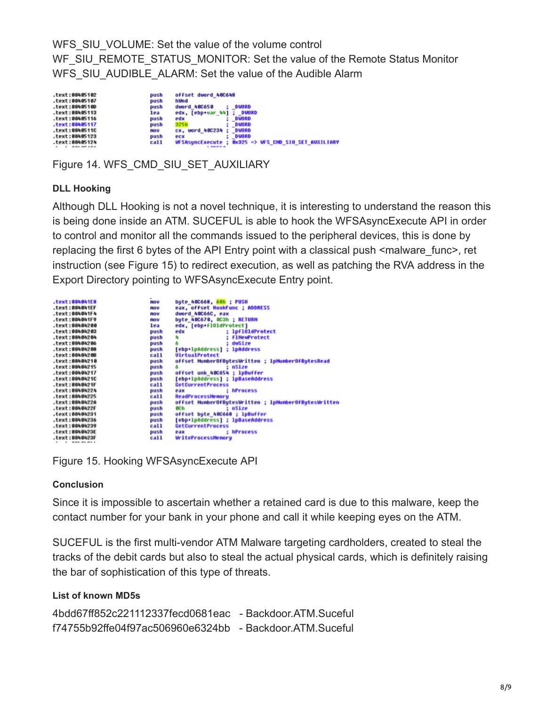WFS\_SIU\_VOLUME: Set the value of the volume control WF\_SIU\_REMOTE\_STATUS\_MONITOR: Set the value of the Remote Status Monitor WFS\_SIU\_AUDIBLE\_ALARM: Set the value of the Audible Alarm

| .text:00405102<br>push | offset dword 40C648                          |
|------------------------|----------------------------------------------|
| .text:00405107<br>push | hWnd                                         |
| .text:0040510D         | dword 48C658                                 |
| push                   | DUORD                                        |
| .text:00405113         | <b>DIMORD</b>                                |
| lea                    | edx, [ebp+var 44]                            |
| .text:00405116         | <b>DUORD</b>                                 |
| push                   | edx                                          |
| .text:00405117         | <b>DUORD</b>                                 |
| push                   | 325h                                         |
| .text:0040511C         | <b>CX, word 48C234</b>                       |
| mou                    | <b>DUORD</b>                                 |
| .text:00405123         | <b>DUORD</b>                                 |
| push                   | e c x                                        |
| call                   | <b>Ox325 =&gt; WFS CHD SIU SET AUXILIARY</b> |
| .text:00405124         | <b>WFSAsuncExecute</b>                       |
|                        | <b>A MARCH AVE</b>                           |

Figure 14. WFS\_CMD\_SIU\_SET\_AUXILIARY

## **DLL Hooking**

Although DLL Hooking is not a novel technique, it is interesting to understand the reason this is being done inside an ATM. SUCEFUL is able to hook the WFSAsyncExecute API in order to control and monitor all the commands issued to the peripheral devices, this is done by replacing the first 6 bytes of the API Entry point with a classical push <malware func>, ret instruction (see Figure 15) to redirect execution, as well as patching the RVA address in the Export Directory pointing to WFSAsyncExecute Entry point.

| .text:004041E8             | ៣០ប  | byte_40C668, 68h : PUSH                              |
|----------------------------|------|------------------------------------------------------|
| .text:004041EF             | ៣០ប  | eax, offset HookFunc ; ADDRESS                       |
| .text:004041F4             | កចប  | dword 400660, eax                                    |
| .text:004841F9             | គ០ប  | bute 40C670, OC3h ; RETURN                           |
| .text:00484200             | lea  | edx, [ebp+f101dProtect]                              |
| .text:00404203             | push | : lpf101dProtect<br>edx                              |
| .text:00404204             | push | <b>flNewProtect</b><br>×.<br>٠                       |
| .text:00404206             | push | $: dwS1ze$                                           |
| .text:00404208             | push | [ebp+lpAddress] : lpAddress                          |
| .text:00404208             | call | <b>UirtualProtect</b>                                |
| .text:00484210             | push | offset NumberOfBytesWritten ; lpNumberOfBytesRead    |
| .text:00404215             | push | nSize                                                |
| .text:00404217             | push | offset unk_40C654 ; lpBuffer                         |
| .text:0040421C             | push | [ebp+lpAddress] : lpBaseAddress                      |
| .text:0048421F             | call | GetCurrentProcess                                    |
| .text:00404224             | push | : hProcess<br>eax                                    |
| .text:00404225             | call | ReadProcessNenoru                                    |
|                            |      |                                                      |
| .text:0040422A             | push | offset NumberOfBytesWritten ; 1pNumberOfBytesWritten |
| .text:0040422F             | push | nSize<br>och                                         |
| .text:00404231             | push | offset byte_40C668 ; lpBuffer                        |
| .text:00404236             | push | [ebp+lpAddress] : lpBaseAddress                      |
| .text:00404239             | call | GetCurrentProcess                                    |
| .text:0040423E             | push | : hProcess<br>978                                    |
| .text:0040423F             | call | <b>WriteProcessMemory</b>                            |
| $1 - 0.01 + 0.101 + 0.001$ |      |                                                      |

Figure 15. Hooking WFSAsyncExecute API

#### **Conclusion**

Since it is impossible to ascertain whether a retained card is due to this malware, keep the contact number for your bank in your phone and call it while keeping eyes on the ATM.

SUCEFUL is the first multi-vendor ATM Malware targeting cardholders, created to steal the tracks of the debit cards but also to steal the actual physical cards, which is definitely raising the bar of sophistication of this type of threats.

#### **List of known MD5s**

```
4bdd67ff852c221112337fecd0681eac - Backdoor.ATM.Suceful
f74755b92ffe04f97ac506960e6324bb - Backdoor.ATM.Suceful
```